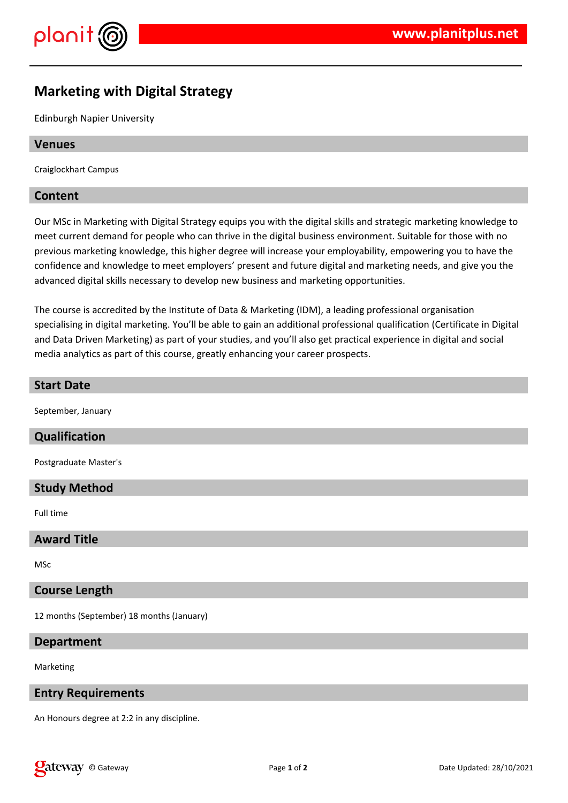

# **Marketing with Digital Strategy**

Edinburgh Napier University

#### **Venues**

Craiglockhart Campus

#### **Content**

Our MSc in Marketing with Digital Strategy equips you with the digital skills and strategic marketing knowledge to meet current demand for people who can thrive in the digital business environment. Suitable for those with no previous marketing knowledge, this higher degree will increase your employability, empowering you to have the confidence and knowledge to meet employers' present and future digital and marketing needs, and give you the advanced digital skills necessary to develop new business and marketing opportunities.

The course is accredited by the Institute of Data & Marketing (IDM), a leading professional organisation specialising in digital marketing. You'll be able to gain an additional professional qualification (Certificate in Digital and Data Driven Marketing) as part of your studies, and you'll also get practical experience in digital and social media analytics as part of this course, greatly enhancing your career prospects.

#### **Start Date**

September, January

#### **Qualification**

Postgraduate Master's

#### **Study Method**

Full time

#### **Award Title**

MSc

#### **Course Length**

12 months (September) 18 months (January)

#### **Department**

Marketing

#### **Entry Requirements**

An Honours degree at 2:2 in any discipline.